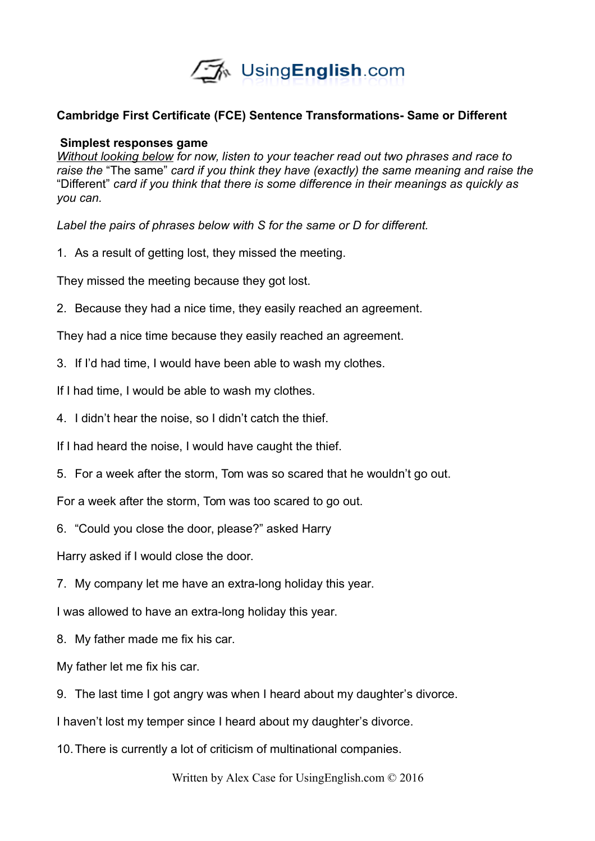

# **Cambridge First Certificate (FCE) Sentence Transformations- Same or Different**

### **Simplest responses game**

*Without looking below for now, listen to your teacher read out two phrases and race to raise the* "The same" *card if you think they have (exactly) the same meaning and raise the*  "Different" *card if you think that there is some difference in their meanings as quickly as you can.* 

*Label the pairs of phrases below with S for the same or D for different.* 

1. As a result of getting lost, they missed the meeting.

They missed the meeting because they got lost.

2. Because they had a nice time, they easily reached an agreement.

They had a nice time because they easily reached an agreement.

- 3. If I'd had time, I would have been able to wash my clothes.
- If I had time, I would be able to wash my clothes.
- 4. I didn't hear the noise, so I didn't catch the thief.
- If I had heard the noise, I would have caught the thief.
- 5. For a week after the storm, Tom was so scared that he wouldn't go out.

For a week after the storm, Tom was too scared to go out.

6. "Could you close the door, please?" asked Harry

Harry asked if I would close the door.

7. My company let me have an extra-long holiday this year.

I was allowed to have an extra-long holiday this year.

8. My father made me fix his car.

My father let me fix his car.

9. The last time I got angry was when I heard about my daughter's divorce.

I haven't lost my temper since I heard about my daughter's divorce.

10.There is currently a lot of criticism of multinational companies.

Written by Alex Case for UsingEnglish.com © 2016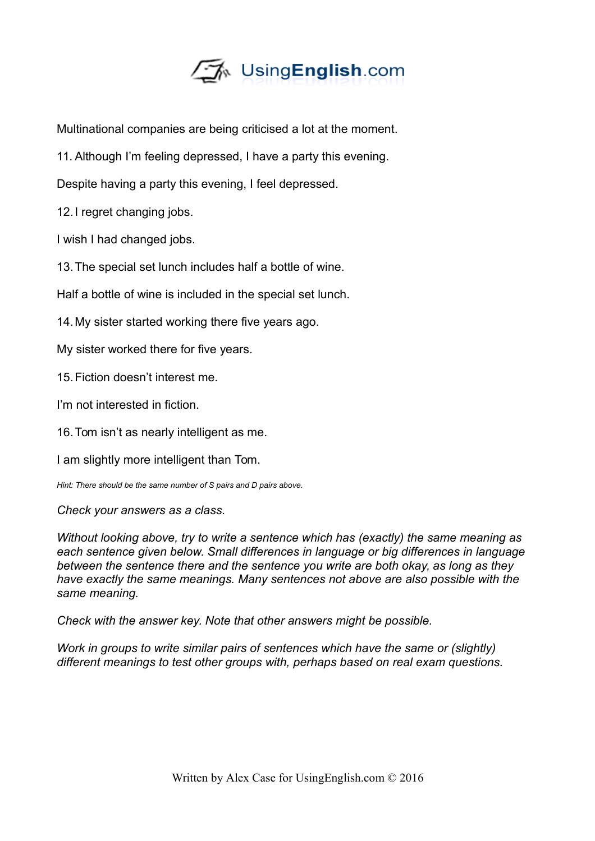

Multinational companies are being criticised a lot at the moment.

11. Although I'm feeling depressed, I have a party this evening.

Despite having a party this evening, I feel depressed.

12.I regret changing jobs.

I wish I had changed jobs.

13.The special set lunch includes half a bottle of wine.

Half a bottle of wine is included in the special set lunch.

14.My sister started working there five years ago.

My sister worked there for five years.

15.Fiction doesn't interest me.

I'm not interested in fiction.

16.Tom isn't as nearly intelligent as me.

I am slightly more intelligent than Tom.

*Hint: There should be the same number of S pairs and D pairs above.* 

*Check your answers as a class.*

*Without looking above, try to write a sentence which has (exactly) the same meaning as each sentence given below. Small differences in language or big differences in language between the sentence there and the sentence you write are both okay, as long as they have exactly the same meanings. Many sentences not above are also possible with the same meaning.* 

*Check with the answer key. Note that other answers might be possible.*

*Work in groups to write similar pairs of sentences which have the same or (slightly) different meanings to test other groups with, perhaps based on real exam questions.*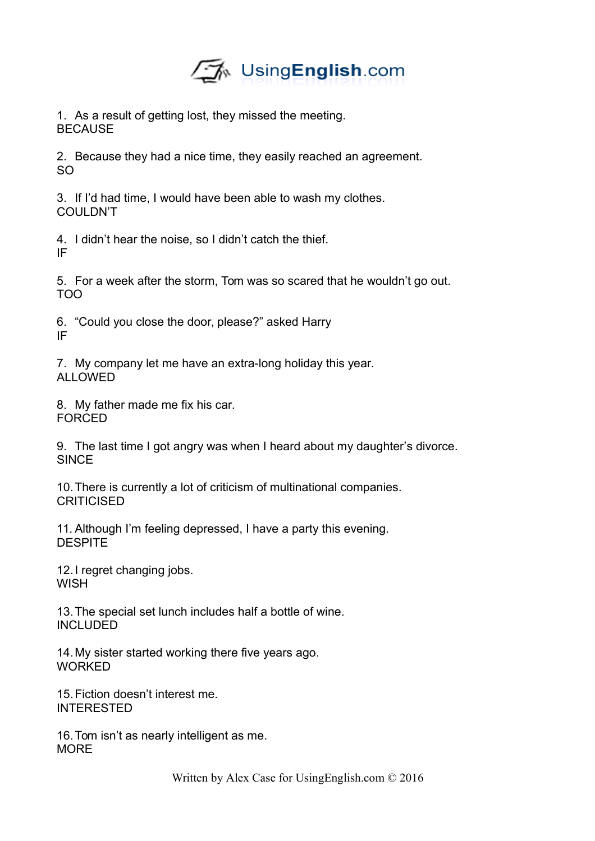

1. As a result of getting lost, they missed the meeting. **BECAUSE** 

2. Because they had a nice time, they easily reached an agreement. SO

3. If I'd had time, I would have been able to wash my clothes. COULDN'T

4. I didn't hear the noise, so I didn't catch the thief. IF

5. For a week after the storm, Tom was so scared that he wouldn't go out. TOO

6. "Could you close the door, please?" asked Harry IF

7. My company let me have an extra-long holiday this year. ALLOWED

8. My father made me fix his car. FORCED

9. The last time I got angry was when I heard about my daughter's divorce. **SINCE** 

10.There is currently a lot of criticism of multinational companies. **CRITICISED** 

11. Although I'm feeling depressed, I have a party this evening. **DESPITE** 

12.I regret changing jobs. **WISH** 

13.The special set lunch includes half a bottle of wine. INCLUDED

14.My sister started working there five years ago. WORKED

15.Fiction doesn't interest me. INTERESTED

16.Tom isn't as nearly intelligent as me. **MORF**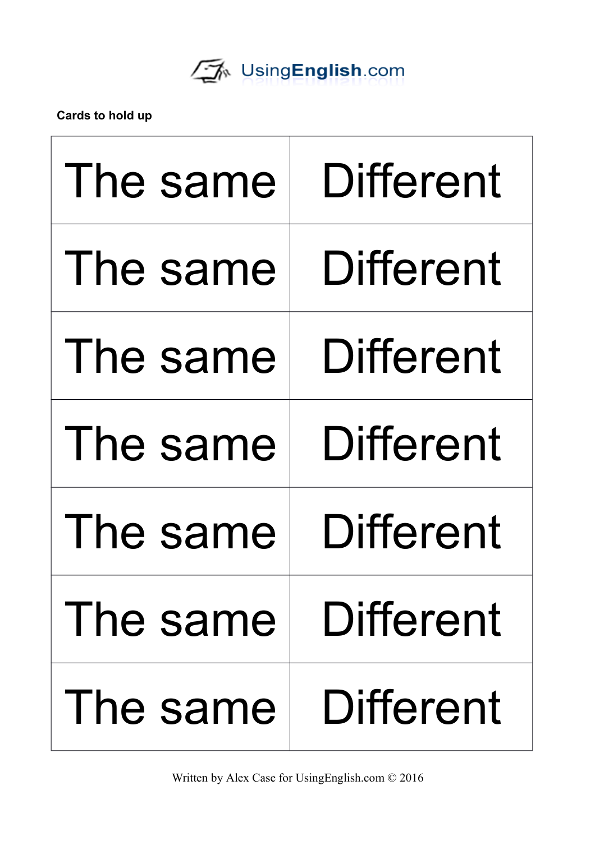

**Cards to hold up**

| The same   | <b>Different</b> |
|------------|------------------|
| The same   | <b>Different</b> |
| The same   | <b>Different</b> |
| The same   | <b>Different</b> |
| The same   | <b>Different</b> |
| The same I | Different        |
| The same   | Different        |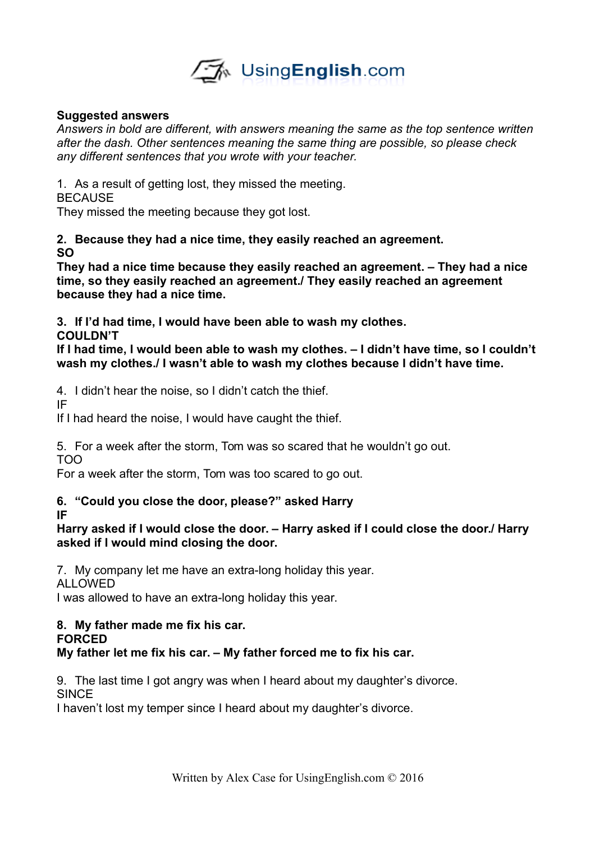

## **Suggested answers**

*Answers in bold are different, with answers meaning the same as the top sentence written after the dash. Other sentences meaning the same thing are possible, so please check any different sentences that you wrote with your teacher.* 

1. As a result of getting lost, they missed the meeting.

**BECAUSE** 

They missed the meeting because they got lost.

# **2. Because they had a nice time, they easily reached an agreement. SO**

**They had a nice time because they easily reached an agreement. – They had a nice time, so they easily reached an agreement./ They easily reached an agreement because they had a nice time.** 

**3. If I'd had time, I would have been able to wash my clothes.** 

**COULDN'T**

**If I had time, I would been able to wash my clothes. – I didn't have time, so I couldn't wash my clothes./ I wasn't able to wash my clothes because I didn't have time.**

4. I didn't hear the noise, so I didn't catch the thief.

IF

If I had heard the noise, I would have caught the thief.

5. For a week after the storm, Tom was so scared that he wouldn't go out.

TOO

For a week after the storm, Tom was too scared to go out.

## **6. "Could you close the door, please?" asked Harry IF**

**Harry asked if I would close the door. – Harry asked if I could close the door./ Harry asked if I would mind closing the door.** 

7. My company let me have an extra-long holiday this year.

**ALLOWED** 

I was allowed to have an extra-long holiday this year.

#### **8. My father made me fix his car. FORCED**

# **My father let me fix his car. – My father forced me to fix his car.**

9. The last time I got angry was when I heard about my daughter's divorce. **SINCE** 

I haven't lost my temper since I heard about my daughter's divorce.